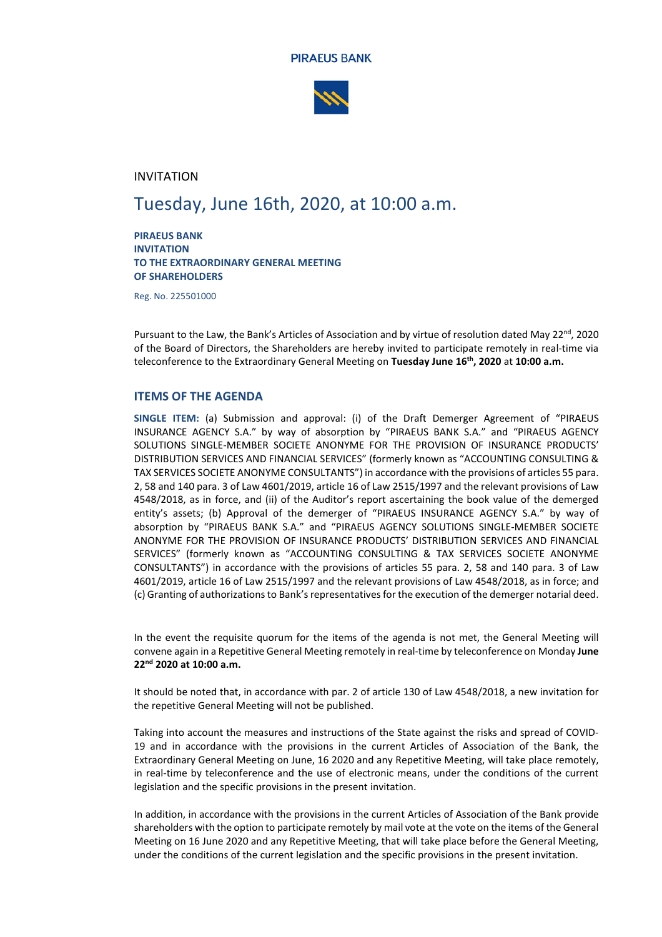



### INVITATION

# Tuesday, June 16th, 2020, at 10:00 a.m.

**PIRAEUS BANK INVITATION TO THE EXTRAORDINARY GENERAL MEETING OF SHAREHOLDERS**

Reg. No. 225501000

Pursuant to the Law, the Bank's Articles of Association and by virtue of resolution dated May 22<sup>nd</sup>, 2020 of the Board of Directors, the Shareholders are hereby invited to participate remotely in real-time via teleconference to the Extraordinary General Meeting on **Tuesday June 16th, 2020** at **10:00 a.m.**

### **ITEMS OF THE AGENDA**

**SINGLE ITEM:** (a) Submission and approval: (i) of the Draft Demerger Agreement of "PIRAEUS INSURANCE AGENCY S.A." by way of absorption by "PIRAEUS BANK S.A." and "PIRAEUS AGENCY SOLUTIONS SINGLE-MEMBER SOCIETE ANONYME FOR THE PROVISION OF INSURANCE PRODUCTS' DISTRIBUTION SERVICES AND FINANCIAL SERVICES" (formerly known as "ACCOUNTING CONSULTING & TAX SERVICES SOCIETE ANONYME CONSULTANTS") in accordance with the provisions of articles 55 para. 2, 58 and 140 para. 3 of Law 4601/2019, article 16 of Law 2515/1997 and the relevant provisions of Law 4548/2018, as in force, and (ii) of the Auditor's report ascertaining the book value of the demerged entity's assets; (b) Approval of the demerger of "PIRAEUS INSURANCE AGENCY S.A." by way of absorption by "PIRAEUS BANK S.A." and "PIRAEUS AGENCY SOLUTIONS SINGLE-MEMBER SOCIETE ANONYME FOR THE PROVISION OF INSURANCE PRODUCTS' DISTRIBUTION SERVICES AND FINANCIAL SERVICES" (formerly known as "ACCOUNTING CONSULTING & TAX SERVICES SOCIETE ANONYME CONSULTANTS") in accordance with the provisions of articles 55 para. 2, 58 and 140 para. 3 of Law 4601/2019, article 16 of Law 2515/1997 and the relevant provisions of Law 4548/2018, as in force; and (c) Granting of authorizations to Bank's representatives for the execution of the demerger notarial deed.

In the event the requisite quorum for the items of the agenda is not met, the General Meeting will convene again in a Repetitive General Meeting remotely in real-time by teleconference on Monday **June 22nd 2020 at 10:00 a.m.**

It should be noted that, in accordance with par. 2 of article 130 of Law 4548/2018, a new invitation for the repetitive General Meeting will not be published.

Taking into account the measures and instructions of the State against the risks and spread of COVID-19 and in accordance with the provisions in the current Articles of Association of the Bank, the Extraordinary General Meeting on June, 16 2020 and any Repetitive Meeting, will take place remotely, in real-time by teleconference and the use of electronic means, under the conditions of the current legislation and the specific provisions in the present invitation.

In addition, in accordance with the provisions in the current Articles of Association of the Bank provide shareholders with the option to participate remotely by mail vote at the vote on the items of the General Meeting on 16 June 2020 and any Repetitive Meeting, that will take place before the General Meeting, under the conditions of the current legislation and the specific provisions in the present invitation.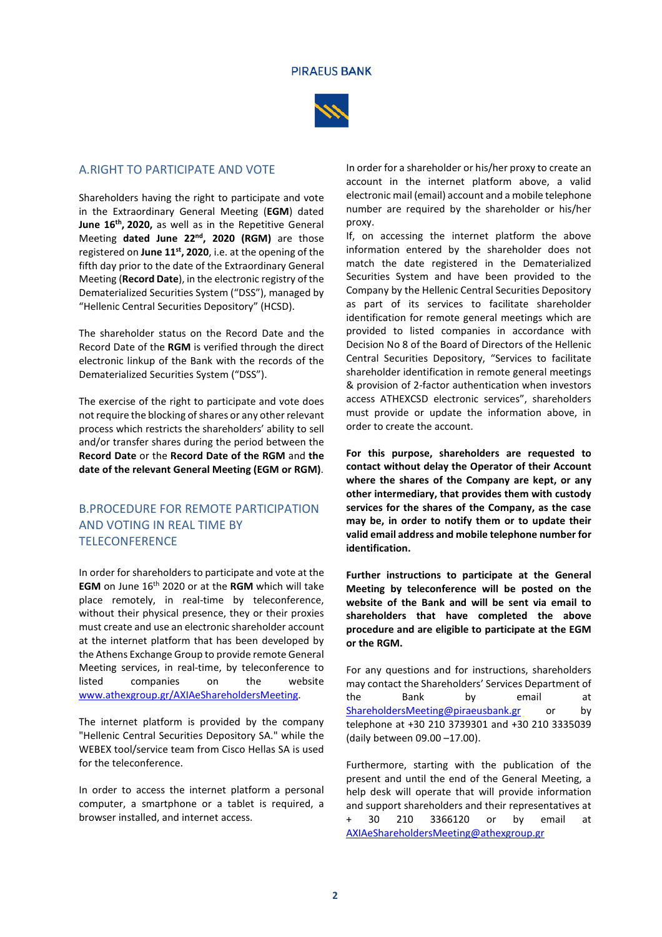

### A.RIGHT TO PARTICIPATE AND VOTE

Shareholders having the right to participate and vote in the Extraordinary General Meeting (**EGM**) dated **June 16th, 2020,** as well as in the Repetitive General Meeting **dated June 22nd, 2020 (RGM)** are those registered on **June 11st, 2020**, i.e. at the opening of the fifth day prior to the date of the Extraordinary General Meeting (**Record Date**), in the electronic registry of the Dematerialized Securities System ("DSS"), managed by "Hellenic Central Securities Depository" (HCSD).

The shareholder status on the Record Date and the Record Date of the **RGM** is verified through the direct electronic linkup of the Bank with the records of the Dematerialized Securities System ("DSS").

The exercise of the right to participate and vote does not require the blocking of shares or any other relevant process which restricts the shareholders' ability to sell and/or transfer shares during the period between the **Record Date** or the **Record Date of the RGM** and **the date of the relevant General Meeting (EGM or RGM)**.

# B.PROCEDURE FOR REMOTE PARTICIPATION AND VOTING IN REAL TIME BY **TELECONFERENCE**

In order for shareholders to participate and vote at the **EGM** on June 16th 2020 or at the **RGM** which will take place remotely, in real-time by teleconference, without their physical presence, they or their proxies must create and use an electronic shareholder account at the internet platform that has been developed by the Athens Exchange Group to provide remote General Meeting services, in real-time, by teleconference to listed companies on the website [www.athexgroup.gr/AXIAeShareholdersMeeting.](http://www.athexgroup.gr/AXIAeShareholdersMeeting)

The internet platform is provided by the company "Hellenic Central Securities Depository SA." while the WEBEX tool/service team from Cisco Hellas SA is used for the teleconference.

In order to access the internet platform a personal computer, a smartphone or a tablet is required, a browser installed, and internet access.

In order for a shareholder or his/her proxy to create an account in the internet platform above, a valid electronic mail (email) account and a mobile telephone number are required by the shareholder or his/her proxy.

If, on accessing the internet platform the above information entered by the shareholder does not match the date registered in the Dematerialized Securities System and have been provided to the Company by the Hellenic Central Securities Depository as part of its services to facilitate shareholder identification for remote general meetings which are provided to listed companies in accordance with Decision No 8 of the Board of Directors of the Hellenic Central Securities Depository, "Services to facilitate shareholder identification in remote general meetings & provision of 2-factor authentication when investors access ATHEXCSD electronic services", shareholders must provide or update the information above, in order to create the account.

**For this purpose, shareholders are requested to contact without delay the Operator of their Account where the shares of the Company are kept, or any other intermediary, that provides them with custody services for the shares of the Company, as the case may be, in order to notify them or to update their valid email address and mobile telephone number for identification.**

**Further instructions to participate at the General Meeting by teleconference will be posted on the website of the Bank and will be sent via email to shareholders that have completed the above procedure and are eligible to participate at the EGM or the RGM.**

For any questions and for instructions, shareholders may contact the Shareholders' Services Department of the Bank by email at [ShareholdersMeeting@piraeusbank.gr](mailto:sharesdept@piraeusbank.gr) or by telephone at +30 210 3739301 and +30 210 3335039 (daily between 09.00 –17.00).

Furthermore, starting with the publication of the present and until the end of the General Meeting, a help desk will operate that will provide information and support shareholders and their representatives at + 30 210 3366120 or by email at [AXIAeShareholdersMeeting@athexgroup.gr](mailto:AXIAeShareholdersMeeting@athexgroup.gr)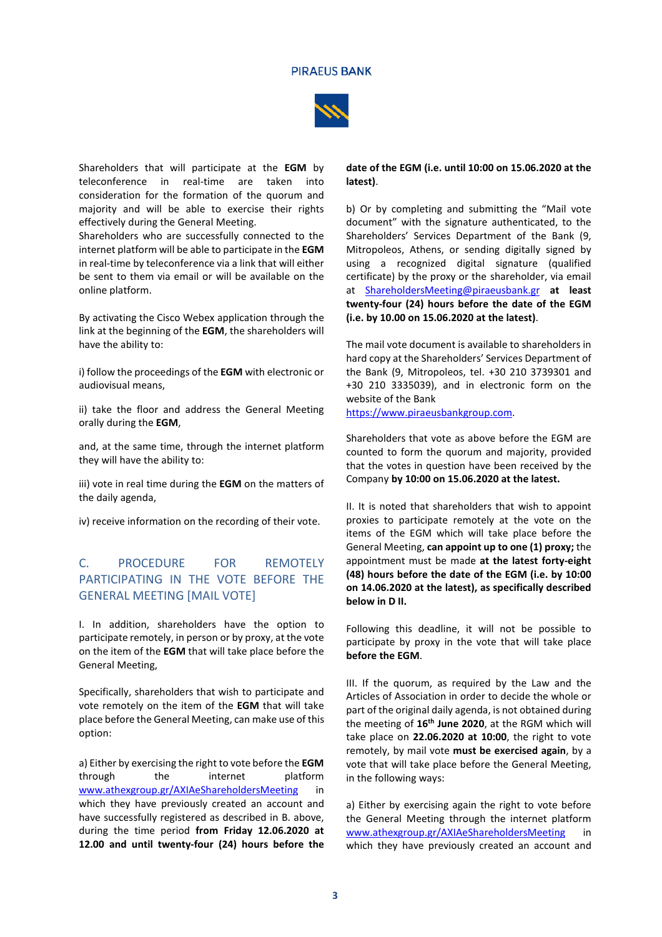

Shareholders that will participate at the **EGM** by teleconference in real-time are taken into consideration for the formation of the quorum and majority and will be able to exercise their rights effectively during the General Meeting.

Shareholders who are successfully connected to the internet platform will be able to participate in the **EGM**  in real-time by teleconference via a link that will either be sent to them via email or will be available on the online platform.

By activating the Cisco Webex application through the link at the beginning of the **EGM**, the shareholders will have the ability to:

i) follow the proceedings of the **EGM** with electronic or audiovisual means,

ii) take the floor and address the General Meeting orally during the **EGM**,

and, at the same time, through the internet platform they will have the ability to:

iii) vote in real time during the **EGM** on the matters of the daily agenda,

iv) receive information on the recording of their vote.

# C. PROCEDURE FOR REMOTELY PARTICIPATING IN THE VOTE BEFORE THE GENERAL MEETING [MAIL VOTE]

I. In addition, shareholders have the option to participate remotely, in person or by proxy, at the vote on the item of the **EGM** that will take place before the General Meeting,

Specifically, shareholders that wish to participate and vote remotely on the item of the **EGM** that will take place before the General Meeting, can make use of this option:

a) Either by exercising the right to vote before the **EGM** through the internet platform [www.athexgroup.gr/AXIAeShareholdersMeeting](http://www.athexgroup.gr/AXIAeShareholdersMeeting) which they have previously created an account and have successfully registered as described in B. above, during the time period **from Friday 12.06.2020 at 12.00 and until twenty-four (24) hours before the** 

#### **date of the EGM (i.e. until 10:00 on 15.06.2020 at the latest)**.

b) Or by completing and submitting the "Mail vote document" with the signature authenticated, to the Shareholders' Services Department of the Bank (9, Mitropoleos, Athens, or sending digitally signed by using a recognized digital signature (qualified certificate) by the proxy or the shareholder, via email at [ShareholdersMeeting@piraeusbank.gr](mailto:sharesdept@piraeusbank.gr) **at least twenty-four (24) hours before the date of the EGM (i.e. by 10.00 on 15.06.2020 at the latest)**.

The mail vote document is available to shareholders in hard copy at the Shareholders' Services Department of the Bank (9, Mitropoleos, tel. +30 210 3739301 and +30 210 3335039), and in electronic form on the website of the Bank

[https://www.piraeusbankgroup.com.](https://www.piraeusbankgroup.com/) 

Shareholders that vote as above before the EGM are counted to form the quorum and majority, provided that the votes in question have been received by the Company **by 10:00 on 15.06.2020 at the latest.** 

II. It is noted that shareholders that wish to appoint proxies to participate remotely at the vote on the items of the EGM which will take place before the General Meeting, **can appoint up to one (1) proxy;** the appointment must be made **at the latest forty-eight (48) hours before the date of the EGM (i.e. by 10:00 on 14.06.2020 at the latest), as specifically described below in D II.** 

Following this deadline, it will not be possible to participate by proxy in the vote that will take place **before the EGM**.

III. If the quorum, as required by the Law and the Articles of Association in order to decide the whole or part of the original daily agenda, is not obtained during the meeting of **16th June 2020**, at the RGM which will take place on **22.06.2020 at 10:00**, the right to vote remotely, by mail vote **must be exercised again**, by a vote that will take place before the General Meeting, in the following ways:

a) Either by exercising again the right to vote before the General Meeting through the internet platform [www.athexgroup.gr/AXIAeShareholdersMeeting](http://www.athexgroup.gr/AXIAeShareholdersMeeting) in which they have previously created an account and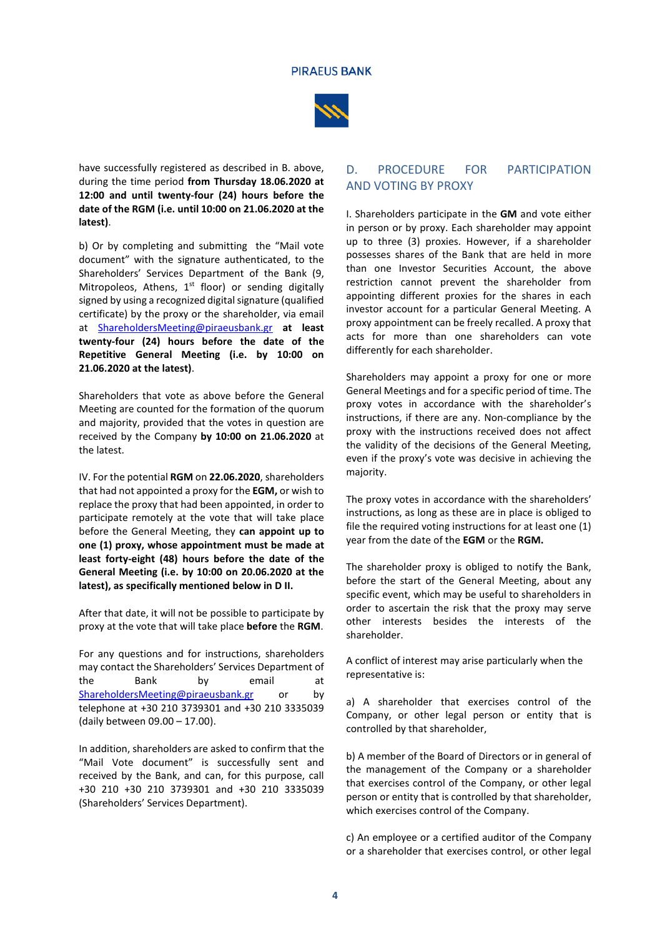

have successfully registered as described in B. above, during the time period **from Thursday 18.06.2020 at 12:00 and until twenty-four (24) hours before the date of the RGM (i.e. until 10:00 on 21.06.2020 at the latest)**.

b) Or by completing and submitting the "Mail vote document" with the signature authenticated, to the Shareholders' Services Department of the Bank (9, Mitropoleos, Athens,  $1<sup>st</sup>$  floor) or sending digitally signed by using a recognized digital signature (qualified certificate) by the proxy or the shareholder, via email at [ShareholdersMeeting@piraeusbank.gr](mailto:sharesdept@piraeusbank.gr) **at least twenty-four (24) hours before the date of the Repetitive General Meeting (i.e. by 10:00 on 21.06.2020 at the latest)**.

Shareholders that vote as above before the General Meeting are counted for the formation of the quorum and majority, provided that the votes in question are received by the Company **by 10:00 on 21.06.2020** at the latest.

IV. For the potential **RGM** on **22.06.2020**, shareholders that had not appointed a proxy for the **EGM,** or wish to replace the proxy that had been appointed, in order to participate remotely at the vote that will take place before the General Meeting, they **can appoint up to one (1) proxy, whose appointment must be made at least forty-eight (48) hours before the date of the General Meeting (i.e. by 10:00 on 20.06.2020 at the latest), as specifically mentioned below in D II.** 

After that date, it will not be possible to participate by proxy at the vote that will take place **before** the **RGM**.

For any questions and for instructions, shareholders may contact the Shareholders' Services Department of the Bank by email at [ShareholdersMeeting@piraeusbank.gr](mailto:sharesdept@piraeusbank.gr) or by telephone at +30 210 3739301 and +30 210 3335039 (daily between 09.00 – 17.00).

In addition, shareholders are asked to confirm that the "Mail Vote document" is successfully sent and received by the Bank, and can, for this purpose, call +30 210 +30 210 3739301 and +30 210 3335039 (Shareholders' Services Department).

# D. PROCEDURE FOR PARTICIPATION AND VOTING BY PROXY

I. Shareholders participate in the **GM** and vote either in person or by proxy. Each shareholder may appoint up to three (3) proxies. However, if a shareholder possesses shares of the Bank that are held in more than one Investor Securities Account, the above restriction cannot prevent the shareholder from appointing different proxies for the shares in each investor account for a particular General Meeting. A proxy appointment can be freely recalled. A proxy that acts for more than one shareholders can vote differently for each shareholder.

Shareholders may appoint a proxy for one or more General Meetings and for a specific period of time. The proxy votes in accordance with the shareholder's instructions, if there are any. Non-compliance by the proxy with the instructions received does not affect the validity of the decisions of the General Meeting, even if the proxy's vote was decisive in achieving the majority.

The proxy votes in accordance with the shareholders' instructions, as long as these are in place is obliged to file the required voting instructions for at least one (1) year from the date of the **EGM** or the **RGM.**

The shareholder proxy is obliged to notify the Bank, before the start of the General Meeting, about any specific event, which may be useful to shareholders in order to ascertain the risk that the proxy may serve other interests besides the interests of the shareholder.

A conflict of interest may arise particularly when the representative is:

a) A shareholder that exercises control of the Company, or other legal person or entity that is controlled by that shareholder,

b) A member of the Board of Directors or in general of the management of the Company or a shareholder that exercises control of the Company, or other legal person or entity that is controlled by that shareholder, which exercises control of the Company.

c) An employee or a certified auditor of the Company or a shareholder that exercises control, or other legal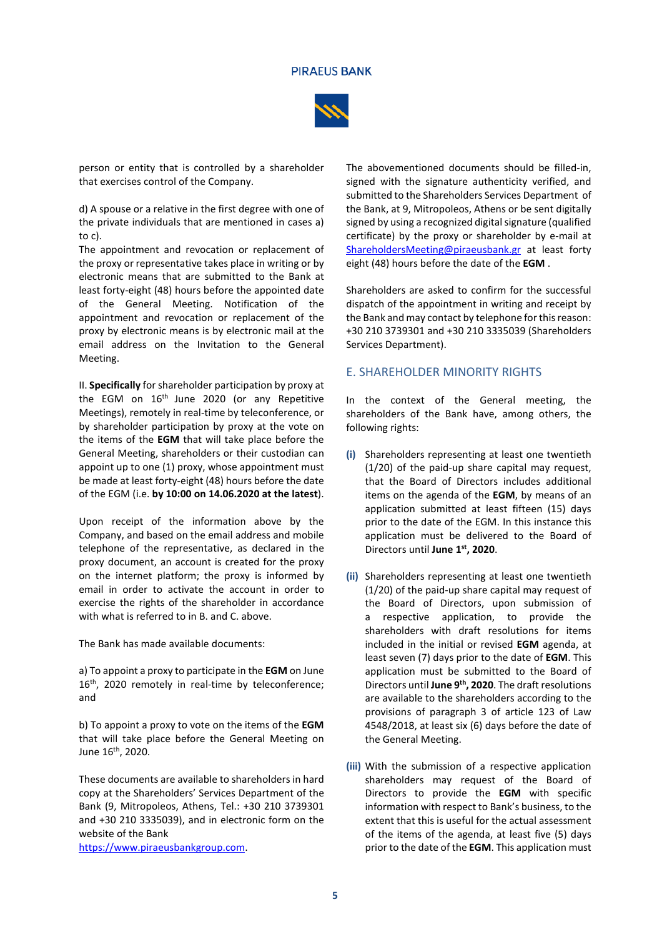#### **PIRAEUS BANK**



person or entity that is controlled by a shareholder that exercises control of the Company.

d) A spouse or a relative in the first degree with one of the private individuals that are mentioned in cases a) to c).

The appointment and revocation or replacement of the proxy or representative takes place in writing or by electronic means that are submitted to the Bank at least forty-eight (48) hours before the appointed date of the General Meeting. Notification of the appointment and revocation or replacement of the proxy by electronic means is by electronic mail at the email address on the Invitation to the General Meeting.

II. **Specifically** for shareholder participation by proxy at the EGM on 16<sup>th</sup> June 2020 (or any Repetitive Meetings), remotely in real-time by teleconference, or by shareholder participation by proxy at the vote on the items of the **EGM** that will take place before the General Meeting, shareholders or their custodian can appoint up to one (1) proxy, whose appointment must be made at least forty-eight (48) hours before the date of the EGM (i.e. **by 10:00 on 14.06.2020 at the latest**).

Upon receipt of the information above by the Company, and based on the email address and mobile telephone of the representative, as declared in the proxy document, an account is created for the proxy on the internet platform; the proxy is informed by email in order to activate the account in order to exercise the rights of the shareholder in accordance with what is referred to in B. and C. above.

The Bank has made available documents:

a) To appoint a proxy to participate in the **EGM** on June 16<sup>th</sup>, 2020 remotely in real-time by teleconference; and

b) To appoint a proxy to vote on the items of the **EGM** that will take place before the General Meeting on June 16<sup>th</sup>, 2020.

These documents are available to shareholders in hard copy at the Shareholders' Services Department of the Bank (9, Mitropoleos, Athens, Tel.: +30 210 3739301 and +30 210 3335039), and in electronic form on the website of the Bank

[https://www.piraeusbankgroup.com.](https://www.piraeusbankgroup.com/)

The abovementioned documents should be filled-in, signed with the signature authenticity verified, and submitted to the Shareholders Services Department of the Bank, at 9, Mitropoleos, Athens or be sent digitally signed by using a recognized digital signature (qualified certificate) by the proxy or shareholder by e-mail at [ShareholdersMeeting@piraeusbank.gr](mailto:sharesdept@piraeusbank.gr) at least forty eight (48) hours before the date of the **EGM** .

Shareholders are asked to confirm for the successful dispatch of the appointment in writing and receipt by the Bank and may contact by telephone for this reason: +30 210 3739301 and +30 210 3335039 (Shareholders Services Department).

### E. SHAREHOLDER MINORITY RIGHTS

In the context of the General meeting, the shareholders of the Bank have, among others, the following rights:

- **(i)** Shareholders representing at least one twentieth (1/20) of the paid-up share capital may request, that the Board of Directors includes additional items on the agenda of the **ΕGM**, by means of an application submitted at least fifteen (15) days prior to the date of the EGM. In this instance this application must be delivered to the Board of Directors until **June 1st, 2020**.
- **(ii)** Shareholders representing at least one twentieth (1/20) of the paid-up share capital may request of the Board of Directors, upon submission of a respective application, to provide the shareholders with draft resolutions for items included in the initial or revised **ΕGM** agenda, at least seven (7) days prior to the date of **EGM**. This application must be submitted to the Board of Directors until **June 9th, 2020**. The draft resolutions are available to the shareholders according to the provisions of paragraph 3 of article 123 of Law 4548/2018, at least six (6) days before the date of the General Meeting.
- **(iii)** With the submission of a respective application shareholders may request of the Board of Directors to provide the **ΕGM** with specific information with respect to Bank's business, to the extent that this is useful for the actual assessment of the items of the agenda, at least five (5) days prior to the date of the **EGM**. This application must